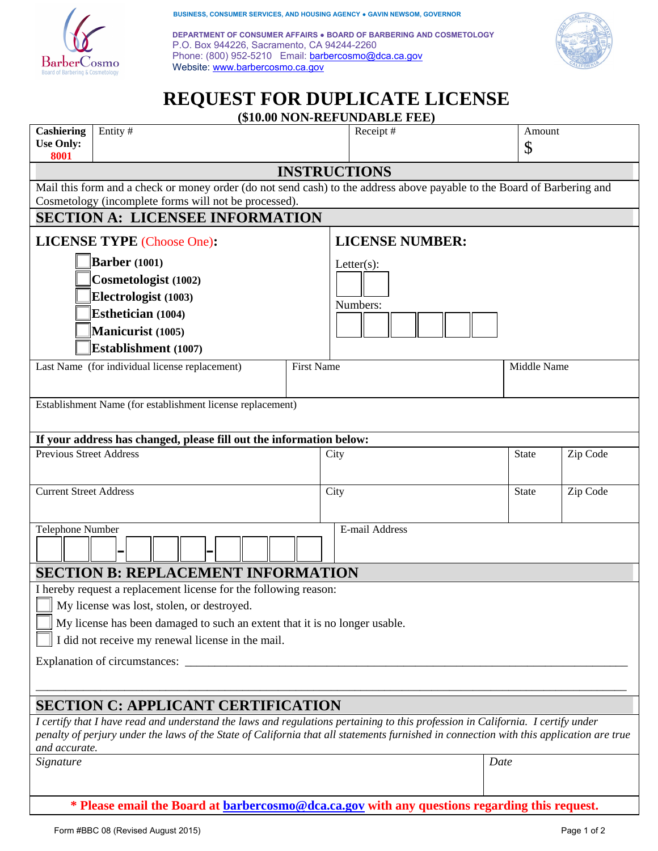

**BUSINESS, CONSUMER SERVICES, AND HOUSING AGENCY ● GAVIN NEWSOM, GOVERNOR** 

**DEPARTMENT OF CONSUMER AFFAIRS ● BOARD OF BARBERING AND COSMETOLOGY** P.O. Box 944226, Sacramento, CA 94244-2260 Phone: (800) 952-5210 Email: barbercosmo@dca.ca.gov Website: www.barbercosmo.ca.gov



# **REQUEST FOR DUPLICATE LICENSE**

**(\$10.00 NON-REFUNDABLE FEE)** 

|                                                                                                                                                          |         |  |  |  |      | (VIU.UU I VI TAET CI DADLE I EE) |              |          |  |
|----------------------------------------------------------------------------------------------------------------------------------------------------------|---------|--|--|--|------|----------------------------------|--------------|----------|--|
| <b>Cashiering</b><br><b>Use Only:</b><br>8001                                                                                                            | Entity# |  |  |  |      | Receipt#                         | Amount<br>\$ |          |  |
|                                                                                                                                                          |         |  |  |  |      |                                  |              |          |  |
| <b>INSTRUCTIONS</b><br>Mail this form and a check or money order (do not send cash) to the address above payable to the Board of Barbering and           |         |  |  |  |      |                                  |              |          |  |
| Cosmetology (incomplete forms will not be processed).                                                                                                    |         |  |  |  |      |                                  |              |          |  |
| <b>SECTION A: LICENSEE INFORMATION</b>                                                                                                                   |         |  |  |  |      |                                  |              |          |  |
| <b>LICENSE TYPE (Choose One):</b>                                                                                                                        |         |  |  |  |      | <b>LICENSE NUMBER:</b>           |              |          |  |
| <b>Barber</b> (1001)                                                                                                                                     |         |  |  |  |      | Letter $(s)$ :                   |              |          |  |
| Cosmetologist (1002)                                                                                                                                     |         |  |  |  |      |                                  |              |          |  |
| Electrologist (1003)                                                                                                                                     |         |  |  |  |      |                                  |              |          |  |
| Esthetician (1004)                                                                                                                                       |         |  |  |  |      | Numbers:                         |              |          |  |
| Manicurist (1005)                                                                                                                                        |         |  |  |  |      |                                  |              |          |  |
| Establishment (1007)                                                                                                                                     |         |  |  |  |      |                                  |              |          |  |
| <b>First Name</b>                                                                                                                                        |         |  |  |  |      |                                  |              |          |  |
| Last Name (for individual license replacement)                                                                                                           |         |  |  |  |      | Middle Name                      |              |          |  |
| Establishment Name (for establishment license replacement)                                                                                               |         |  |  |  |      |                                  |              |          |  |
|                                                                                                                                                          |         |  |  |  |      |                                  |              |          |  |
| If your address has changed, please fill out the information below:                                                                                      |         |  |  |  |      |                                  |              |          |  |
| <b>Previous Street Address</b>                                                                                                                           |         |  |  |  | City |                                  | State        | Zip Code |  |
|                                                                                                                                                          |         |  |  |  |      |                                  |              |          |  |
| <b>Current Street Address</b>                                                                                                                            |         |  |  |  | City |                                  | <b>State</b> | Zip Code |  |
|                                                                                                                                                          |         |  |  |  |      |                                  |              |          |  |
|                                                                                                                                                          |         |  |  |  |      |                                  |              |          |  |
| Telephone Number<br>E-mail Address                                                                                                                       |         |  |  |  |      |                                  |              |          |  |
|                                                                                                                                                          |         |  |  |  |      |                                  |              |          |  |
| <b>SECTION B: REPLACEMENT INFORMATION</b>                                                                                                                |         |  |  |  |      |                                  |              |          |  |
| I hereby request a replacement license for the following reason:                                                                                         |         |  |  |  |      |                                  |              |          |  |
| My license was lost, stolen, or destroyed.                                                                                                               |         |  |  |  |      |                                  |              |          |  |
| My license has been damaged to such an extent that it is no longer usable.                                                                               |         |  |  |  |      |                                  |              |          |  |
| I did not receive my renewal license in the mail.                                                                                                        |         |  |  |  |      |                                  |              |          |  |
|                                                                                                                                                          |         |  |  |  |      |                                  |              |          |  |
|                                                                                                                                                          |         |  |  |  |      |                                  |              |          |  |
|                                                                                                                                                          |         |  |  |  |      |                                  |              |          |  |
| <b>SECTION C: APPLICANT CERTIFICATION</b>                                                                                                                |         |  |  |  |      |                                  |              |          |  |
| I certify that I have read and understand the laws and regulations pertaining to this profession in California. I certify under                          |         |  |  |  |      |                                  |              |          |  |
| penalty of perjury under the laws of the State of California that all statements furnished in connection with this application are true<br>and accurate. |         |  |  |  |      |                                  |              |          |  |
| Signature                                                                                                                                                |         |  |  |  |      |                                  | Date         |          |  |
|                                                                                                                                                          |         |  |  |  |      |                                  |              |          |  |
|                                                                                                                                                          |         |  |  |  |      |                                  |              |          |  |
| * Please email the Board at <b>barbercosmo@dca.ca.gov</b> with any questions regarding this request.                                                     |         |  |  |  |      |                                  |              |          |  |